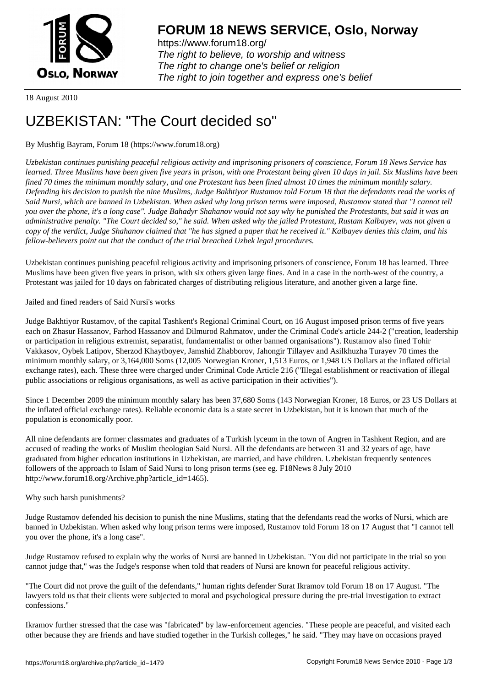

https://www.forum18.org/ The right to believe, to worship and witness The right to change one's belief or religion [The right to join together a](https://www.forum18.org/)nd express one's belief

18 August 2010

# [UZBEKISTAN:](https://www.forum18.org) "The Court decided so"

# By Mushfig Bayram, Forum 18 (https://www.forum18.org)

*Uzbekistan continues punishing peaceful religious activity and imprisoning prisoners of conscience, Forum 18 News Service has learned. Three Muslims have been given five years in prison, with one Protestant being given 10 days in jail. Six Muslims have been fined 70 times the minimum monthly salary, and one Protestant has been fined almost 10 times the minimum monthly salary. Defending his decision to punish the nine Muslims, Judge Bakhtiyor Rustamov told Forum 18 that the defendants read the works of Said Nursi, which are banned in Uzbekistan. When asked why long prison terms were imposed, Rustamov stated that "I cannot tell you over the phone, it's a long case". Judge Bahadyr Shahanov would not say why he punished the Protestants, but said it was an administrative penalty. "The Court decided so," he said. When asked why the jailed Protestant, Rustam Kalbayev, was not given a copy of the verdict, Judge Shahanov claimed that "he has signed a paper that he received it." Kalbayev denies this claim, and his fellow-believers point out that the conduct of the trial breached Uzbek legal procedures.*

Uzbekistan continues punishing peaceful religious activity and imprisoning prisoners of conscience, Forum 18 has learned. Three Muslims have been given five years in prison, with six others given large fines. And in a case in the north-west of the country, a Protestant was jailed for 10 days on fabricated charges of distributing religious literature, and another given a large fine.

Jailed and fined readers of Said Nursi's works

Judge Bakhtiyor Rustamov, of the capital Tashkent's Regional Criminal Court, on 16 August imposed prison terms of five years each on Zhasur Hassanov, Farhod Hassanov and Dilmurod Rahmatov, under the Criminal Code's article 244-2 ("creation, leadership or participation in religious extremist, separatist, fundamentalist or other banned organisations"). Rustamov also fined Tohir Vakkasov, Oybek Latipov, Sherzod Khaytboyev, Jamshid Zhabborov, Jahongir Tillayev and Asilkhuzha Turayev 70 times the minimum monthly salary, or 3,164,000 Soms (12,005 Norwegian Kroner, 1,513 Euros, or 1,948 US Dollars at the inflated official exchange rates), each. These three were charged under Criminal Code Article 216 ("Illegal establishment or reactivation of illegal public associations or religious organisations, as well as active participation in their activities").

Since 1 December 2009 the minimum monthly salary has been 37,680 Soms (143 Norwegian Kroner, 18 Euros, or 23 US Dollars at the inflated official exchange rates). Reliable economic data is a state secret in Uzbekistan, but it is known that much of the population is economically poor.

All nine defendants are former classmates and graduates of a Turkish lyceum in the town of Angren in Tashkent Region, and are accused of reading the works of Muslim theologian Said Nursi. All the defendants are between 31 and 32 years of age, have graduated from higher education institutions in Uzbekistan, are married, and have children. Uzbekistan frequently sentences followers of the approach to Islam of Said Nursi to long prison terms (see eg. F18News 8 July 2010 http://www.forum18.org/Archive.php?article\_id=1465).

## Why such harsh punishments?

Judge Rustamov defended his decision to punish the nine Muslims, stating that the defendants read the works of Nursi, which are banned in Uzbekistan. When asked why long prison terms were imposed, Rustamov told Forum 18 on 17 August that "I cannot tell you over the phone, it's a long case".

Judge Rustamov refused to explain why the works of Nursi are banned in Uzbekistan. "You did not participate in the trial so you cannot judge that," was the Judge's response when told that readers of Nursi are known for peaceful religious activity.

"The Court did not prove the guilt of the defendants," human rights defender Surat Ikramov told Forum 18 on 17 August. "The lawyers told us that their clients were subjected to moral and psychological pressure during the pre-trial investigation to extract confessions."

Ikramov further stressed that the case was "fabricated" by law-enforcement agencies. "These people are peaceful, and visited each other because they are friends and have studied together in the Turkish colleges," he said. "They may have on occasions prayed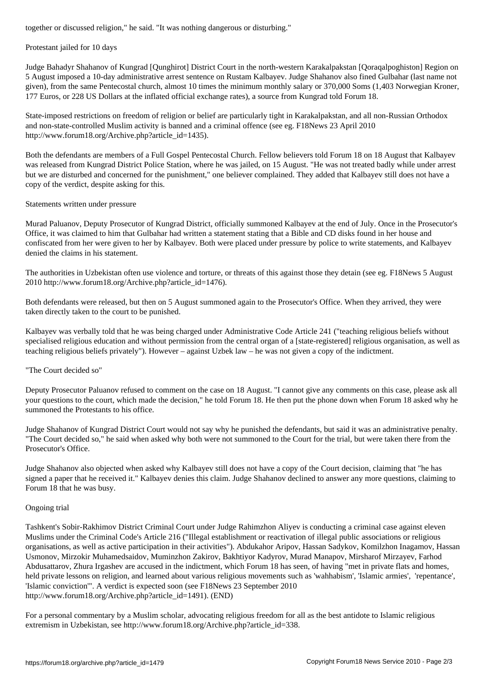#### Protestant jailed for 10 days

Judge Bahadyr Shahanov of Kungrad [Qunghirot] District Court in the north-western Karakalpakstan [Qoraqalpoghiston] Region on 5 August imposed a 10-day administrative arrest sentence on Rustam Kalbayev. Judge Shahanov also fined Gulbahar (last name not given), from the same Pentecostal church, almost 10 times the minimum monthly salary or 370,000 Soms (1,403 Norwegian Kroner, 177 Euros, or 228 US Dollars at the inflated official exchange rates), a source from Kungrad told Forum 18.

State-imposed restrictions on freedom of religion or belief are particularly tight in Karakalpakstan, and all non-Russian Orthodox and non-state-controlled Muslim activity is banned and a criminal offence (see eg. F18News 23 April 2010 http://www.forum18.org/Archive.php?article\_id=1435).

Both the defendants are members of a Full Gospel Pentecostal Church. Fellow believers told Forum 18 on 18 August that Kalbayev was released from Kungrad District Police Station, where he was jailed, on 15 August. "He was not treated badly while under arrest but we are disturbed and concerned for the punishment," one believer complained. They added that Kalbayev still does not have a copy of the verdict, despite asking for this.

## Statements written under pressure

Murad Paluanov, Deputy Prosecutor of Kungrad District, officially summoned Kalbayev at the end of July. Once in the Prosecutor's Office, it was claimed to him that Gulbahar had written a statement stating that a Bible and CD disks found in her house and confiscated from her were given to her by Kalbayev. Both were placed under pressure by police to write statements, and Kalbayev denied the claims in his statement.

The authorities in Uzbekistan often use violence and torture, or threats of this against those they detain (see eg. F18News 5 August 2010 http://www.forum18.org/Archive.php?article\_id=1476).

Both defendants were released, but then on 5 August summoned again to the Prosecutor's Office. When they arrived, they were taken directly taken to the court to be punished.

Kalbayev was verbally told that he was being charged under Administrative Code Article 241 ("teaching religious beliefs without specialised religious education and without permission from the central organ of a [state-registered] religious organisation, as well as teaching religious beliefs privately"). However – against Uzbek law – he was not given a copy of the indictment.

# "The Court decided so"

Deputy Prosecutor Paluanov refused to comment on the case on 18 August. "I cannot give any comments on this case, please ask all your questions to the court, which made the decision," he told Forum 18. He then put the phone down when Forum 18 asked why he summoned the Protestants to his office.

Judge Shahanov of Kungrad District Court would not say why he punished the defendants, but said it was an administrative penalty. "The Court decided so," he said when asked why both were not summoned to the Court for the trial, but were taken there from the Prosecutor's Office.

Judge Shahanov also objected when asked why Kalbayev still does not have a copy of the Court decision, claiming that "he has signed a paper that he received it." Kalbayev denies this claim. Judge Shahanov declined to answer any more questions, claiming to Forum 18 that he was busy.

## Ongoing trial

Tashkent's Sobir-Rakhimov District Criminal Court under Judge Rahimzhon Aliyev is conducting a criminal case against eleven Muslims under the Criminal Code's Article 216 ("Illegal establishment or reactivation of illegal public associations or religious organisations, as well as active participation in their activities"). Abdukahor Aripov, Hassan Sadykov, Komilzhon Inagamov, Hassan Usmonov, Mirzokir Muhamedsaidov, Muminzhon Zakirov, Bakhtiyor Kadyrov, Murad Manapov, Mirsharof Mirzayev, Farhod Abdusattarov, Zhura Irgashev are accused in the indictment, which Forum 18 has seen, of having "met in private flats and homes, held private lessons on religion, and learned about various religious movements such as 'wahhabism', 'Islamic armies', 'repentance', 'Islamic conviction'". A verdict is expected soon (see F18News 23 September 2010 http://www.forum18.org/Archive.php?article\_id=1491). (END)

For a personal commentary by a Muslim scholar, advocating religious freedom for all as the best antidote to Islamic religious extremism in Uzbekistan, see http://www.forum18.org/Archive.php?article\_id=338.